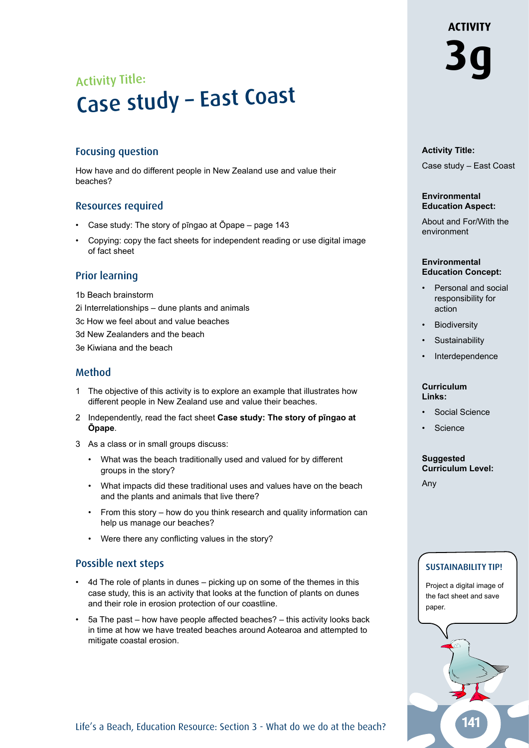# Activity Title: **3g** Activity Title:<br>Case study - East Coast

#### Focusing question

How have and do different people in New Zealand use and value their beaches?

#### Resources required

- Case study: The story of pīngao at Ōpape page 143
- Copying: copy the fact sheets for independent reading or use digital image of fact sheet

#### Prior learning

- 1b Beach brainstorm
- 2i Interrelationships dune plants and animals
- 3c How we feel about and value beaches
- 3d New Zealanders and the beach
- 3e Kiwiana and the beach

#### Method

- 1 The objective of this activity is to explore an example that illustrates how different people in New Zealand use and value their beaches.
- 2 Independently, read the fact sheet **Case study: The story of pīngao at Ōpape**.
- 3 As a class or in small groups discuss:
	- What was the beach traditionally used and valued for by different groups in the story?
	- What impacts did these traditional uses and values have on the beach and the plants and animals that live there?
	- From this story how do you think research and quality information can help us manage our beaches?
	- Were there any conflicting values in the story?

#### Possible next steps

- 4d The role of plants in dunes picking up on some of the themes in this case study, this is an activity that looks at the function of plants on dunes and their role in erosion protection of our coastline.
- 5a The past how have people affected beaches? this activity looks back in time at how we have treated beaches around Aotearoa and attempted to mitigate coastal erosion.

**ACTIVITY** 

#### **Activity Title:**

Case study – East Coast

#### **Environmental Education Aspect:**

About and For/With the environment

#### **Environmental Education Concept:**

- Personal and social responsibility for action
- **Biodiversity**
- **Sustainability**
- **Interdependence**

#### **Curriculum Links:**

- Social Science
- **Science**

#### **Suggested Curriculum Level:**

Any

#### SUSTAINABILITY TIP!

Project a digital image of the fact sheet and save paper.



Life's a Beach, Education Resource: Section 3 - What do we do at the beach?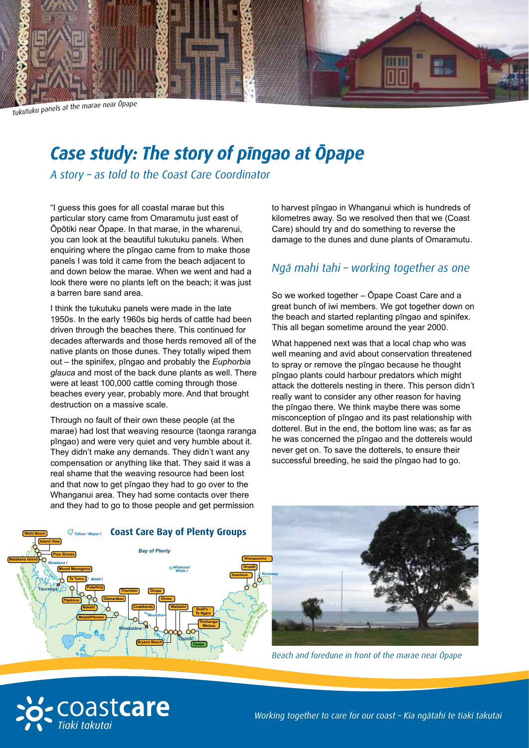

Tukutuku panels at the marae near Opape

## *Case study: The story of pīngao at Ōpape*

*A story – as told to the Coast Care Coordinator*

"I guess this goes for all coastal marae but this particular story came from Omaramutu just east of Ōpōtiki near Ōpape. In that marae, in the wharenui, you can look at the beautiful tukutuku panels. When enquiring where the pīngao came from to make those panels I was told it came from the beach adjacent to and down below the marae. When we went and had a look there were no plants left on the beach; it was just a barren bare sand area.

I think the tukutuku panels were made in the late 1950s. In the early 1960s big herds of cattle had been driven through the beaches there. This continued for decades afterwards and those herds removed all of the native plants on those dunes. They totally wiped them out – the spinifex, pīngao and probably the *Euphorbia glauca* and most of the back dune plants as well. There were at least 100,000 cattle coming through those beaches every year, probably more. And that brought destruction on a massive scale.

Through no fault of their own these people (at the marae) had lost that weaving resource (taonga raranga pīngao) and were very quiet and very humble about it. They didn't make any demands. They didn't want any compensation or anything like that. They said it was a real shame that the weaving resource had been lost and that now to get pīngao they had to go over to the Whanganui area. They had some contacts over there and they had to go to those people and get permission

to harvest pīngao in Whanganui which is hundreds of kilometres away. So we resolved then that we (Coast Care) should try and do something to reverse the damage to the dunes and dune plants of Omaramutu.

### *Ngā mahi tahi – working together as one*

So we worked together – Ōpape Coast Care and a great bunch of iwi members. We got together down on the beach and started replanting pīngao and spinifex. This all began sometime around the year 2000.

What happened next was that a local chap who was well meaning and avid about conservation threatened to spray or remove the pīngao because he thought pīngao plants could harbour predators which might attack the dotterels nesting in there. This person didn't really want to consider any other reason for having the pīngao there. We think maybe there was some misconception of pīngao and its past relationship with dotterel. But in the end, the bottom line was; as far as he was concerned the pīngao and the dotterels would never get on. To save the dotterels, to ensure their successful breeding, he said the pīngao had to go.





*Beach and foredune in front of the marae near Ōpape*